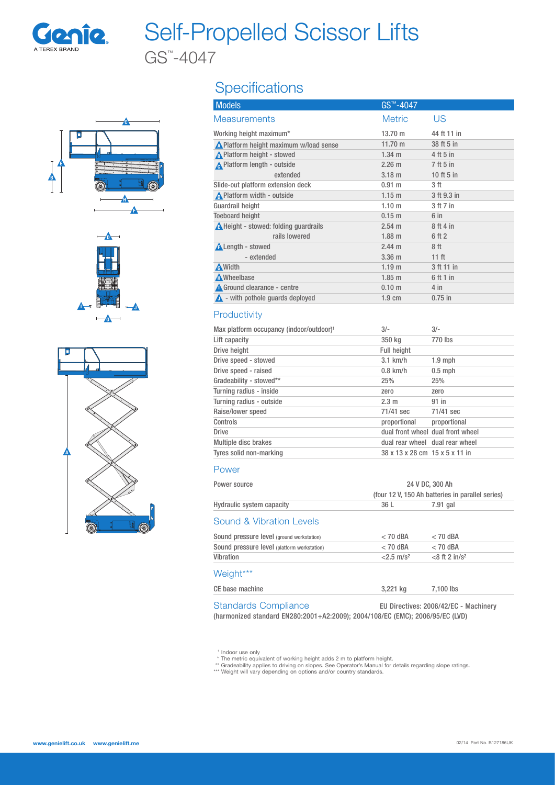

# Self-Propelled Scissor Lifts

GS™ -4047









## **Specifications**

| <b>Models</b>                                 | GS™-4047          |                  |
|-----------------------------------------------|-------------------|------------------|
| <b>Measurements</b>                           | <b>Metric</b>     | US               |
| Working height maximum*                       | 13.70 m           | 44 ft 11 in      |
| <b>A</b> Platform height maximum w/load sense | 11.70 m           | 38 ft 5 in       |
| A Platform height - stowed                    | $1.34 \; m$       | 4 ft 5 in        |
| A Platform length - outside                   | $2.26$ m          | 7 ft 5 in        |
| extended                                      | $3.18$ m          | 10 ft 5 in       |
| Slide-out platform extension deck             | 0.91 m            | 3 ft             |
| A Platform width - outside                    | $1.15$ m          | 3 ft 9.3 in      |
| Guardrail height                              | 1.10 <sub>m</sub> | 3 ft 7 in        |
| <b>Toeboard height</b>                        | 0.15 m            | 6 in             |
| <b>A</b> Height - stowed: folding quardrails  | $2.54 \text{ m}$  | 8 ft 4 in        |
| rails lowered                                 | $1.88$ m          | 6 ft 2           |
| <b>ALength - stowed</b>                       | $2.44 \text{ m}$  | 8 <sup>th</sup>  |
| - extended                                    | 3.36 <sub>m</sub> | 11 <sub>ft</sub> |
| <b>A</b> Width                                | 1.19 <sub>m</sub> | 3 ft 11 in       |
| <b>A</b> Wheelbase                            | $1.85$ m          | 6 ft 1 in        |
| <b>A</b> Ground clearance - centre            | 0.10 <sub>m</sub> | $4$ in           |
| $\triangle$ - with pothole quards deployed    | $1.9 \text{ cm}$  | $0.75$ in        |

### **Productivity**

| Max platform occupancy (indoor/outdoor) <sup>1</sup> | $3/-$                          | $3/-$                             |
|------------------------------------------------------|--------------------------------|-----------------------------------|
| Lift capacity                                        | 350 kg                         | 770 lbs                           |
| Drive height                                         | <b>Full height</b>             |                                   |
| Drive speed - stowed                                 | $3.1$ km/h                     | $1.9$ mph                         |
| Drive speed - raised                                 | $0.8$ km/h                     | $0.5$ mph                         |
| Gradeability - stowed**                              | 25%                            | 25%                               |
| Turning radius - inside                              | zero                           | zero                              |
| Turning radius - outside                             | 2.3 m                          | $91$ in                           |
| Raise/lower speed                                    | 71/41 sec                      | 71/41 sec                         |
| Controls                                             | proportional                   | proportional                      |
| <b>Drive</b>                                         |                                | dual front wheel dual front wheel |
| Multiple disc brakes                                 |                                | dual rear wheel dual rear wheel   |
| Tyres solid non-marking                              | 38 x 13 x 28 cm 15 x 5 x 11 in |                                   |
|                                                      |                                |                                   |

#### Power

| Power source                                | 24 V DC, 300 Ah                       |                                                  |  |  |
|---------------------------------------------|---------------------------------------|--------------------------------------------------|--|--|
|                                             |                                       | (four 12 V, 150 Ah batteries in parallel series) |  |  |
| <b>Hydraulic system capacity</b>            | 36 L                                  | 7.91 gal                                         |  |  |
| Sound & Vibration Levels                    |                                       |                                                  |  |  |
| Sound pressure level (ground workstation)   | $< 70$ dBA                            | $<$ 70 dBA                                       |  |  |
| Sound pressure level (platform workstation) | $< 70$ dBA                            | $<$ 70 dBA                                       |  |  |
| Vibration                                   | $< 2.5$ m/s <sup>2</sup>              | $<8$ ft 2 in/s <sup>2</sup>                      |  |  |
| Weight***                                   |                                       |                                                  |  |  |
| CE base machine                             | 3,221 kg                              | 7,100 lbs                                        |  |  |
| <b>Standards Compliance</b>                 | EU Directives: 2006/42/EC - Machinery |                                                  |  |  |

(harmonized standard EN280:2001+A2:2009); 2004/108/EC (EMC); 2006/95/EC (LVD)

" Indoor use only<br>\* The metric equivalent of working height adds 2 m to platform height.<br>\*\* Gradeability applies to driving on slopes. See Operator's Manual for details regarding slope ratings.<br>\*\*\* Weight will vary dependi